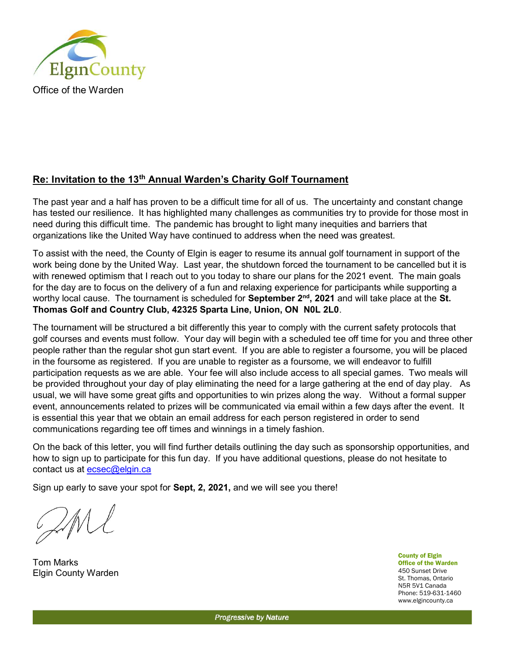

## Re: Invitation to the 13th Annual Warden's Charity Golf Tournament

The past year and a half has proven to be a difficult time for all of us. The uncertainty and constant change has tested our resilience. It has highlighted many challenges as communities try to provide for those most in need during this difficult time. The pandemic has brought to light many inequities and barriers that organizations like the United Way have continued to address when the need was greatest.

To assist with the need, the County of Elgin is eager to resume its annual golf tournament in support of the work being done by the United Way. Last year, the shutdown forced the tournament to be cancelled but it is with renewed optimism that I reach out to you today to share our plans for the 2021 event. The main goals for the day are to focus on the delivery of a fun and relaxing experience for participants while supporting a worthy local cause. The tournament is scheduled for September 2<sup>nd</sup>, 2021 and will take place at the St. Thomas Golf and Country Club, 42325 Sparta Line, Union, ON N0L 2L0.

The tournament will be structured a bit differently this year to comply with the current safety protocols that golf courses and events must follow. Your day will begin with a scheduled tee off time for you and three other people rather than the regular shot gun start event. If you are able to register a foursome, you will be placed in the foursome as registered. If you are unable to register as a foursome, we will endeavor to fulfill participation requests as we are able. Your fee will also include access to all special games. Two meals will be provided throughout your day of play eliminating the need for a large gathering at the end of day play. As usual, we will have some great gifts and opportunities to win prizes along the way. Without a formal supper event, announcements related to prizes will be communicated via email within a few days after the event. It is essential this year that we obtain an email address for each person registered in order to send communications regarding tee off times and winnings in a timely fashion.

On the back of this letter, you will find further details outlining the day such as sponsorship opportunities, and how to sign up to participate for this fun day. If you have additional questions, please do not hesitate to contact us at ecsec@elgin.ca

Sign up early to save your spot for Sept, 2, 2021, and we will see you there!

Tom Marks Elgin County Warden

County of Elgin Office of the Warden 450 Sunset Drive St. Thomas, Ontario N5R 5V1 Canada Phone: 519-631-1460 www.elgincounty.ca